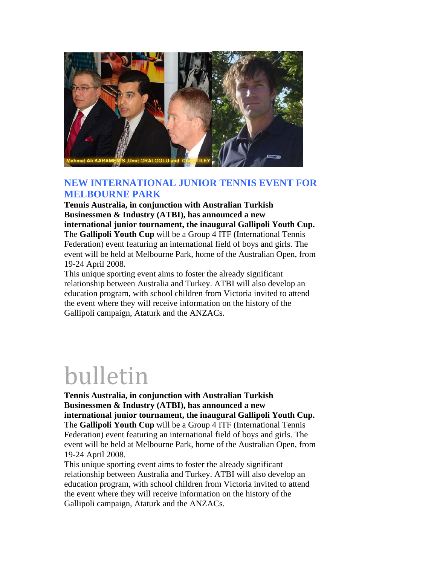

## **NEW INTERNATIONAL JUNIOR TENNIS EVENT FOR MELBOURNE PARK**

**Tennis Australia, in conjunction with Australian Turkish Businessmen & Industry (ATBI), has announced a new international junior tournament, the inaugural Gallipoli Youth Cup.** The **Gallipoli Youth Cup** will be a Group 4 ITF (International Tennis Federation) event featuring an international field of boys and girls. The event will be held at Melbourne Park, home of the Australian Open, from 19-24 April 2008.

This unique sporting event aims to foster the already significant relationship between Australia and Turkey. ATBI will also develop an education program, with school children from Victoria invited to attend the event where they will receive information on the history of the Gallipoli campaign, Ataturk and the ANZACs.

## bulletin

**Tennis Australia, in conjunction with Australian Turkish Businessmen & Industry (ATBI), has announced a new international junior tournament, the inaugural Gallipoli Youth Cup.** The **Gallipoli Youth Cup** will be a Group 4 ITF (International Tennis Federation) event featuring an international field of boys and girls. The event will be held at Melbourne Park, home of the Australian Open, from 19-24 April 2008.

This unique sporting event aims to foster the already significant relationship between Australia and Turkey. ATBI will also develop an education program, with school children from Victoria invited to attend the event where they will receive information on the history of the Gallipoli campaign, Ataturk and the ANZACs.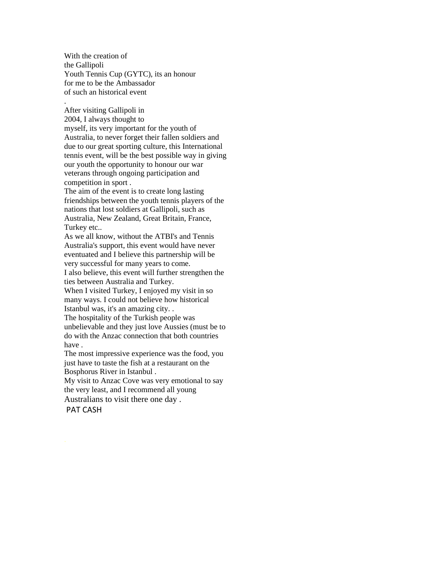With the creation of the Gallipoli Youth Tennis Cup (GYTC), its an honour for me to be the Ambassador of such an historical event

.

After visiting Gallipoli in 2004, I always thought to myself, its very important for the youth of Australia, to never forget their fallen soldiers and due to our great sporting culture, this International tennis event, will be the best possible way in giving our youth the opportunity to honour our war veterans through ongoing participation and competition in sport .

The aim of the event is to create long lasting friendships between the youth tennis players of the nations that lost soldiers at Gallipoli, such as Australia, New Zealand, Great Britain, France, Turkey etc..

As we all know, without the ATBI's and Tennis Australia's support, this event would have never eventuated and I believe this partnership will be very successful for many years to come.

I also believe, this event will further strengthen the ties between Australia and Turkey.

When I visited Turkey, I enjoyed my visit in so many ways. I could not believe how historical Istanbul was, it's an amazing city. .

The hospitality of the Turkish people was unbelievable and they just love Aussies (must be to do with the Anzac connection that both countries have .

The most impressive experience was the food, you just have to taste the fish at a restaurant on the Bosphorus River in Istanbul .

My visit to Anzac Cove was very emotional to say the very least, and I recommend all young

Australians to visit there one day . PAT CASH